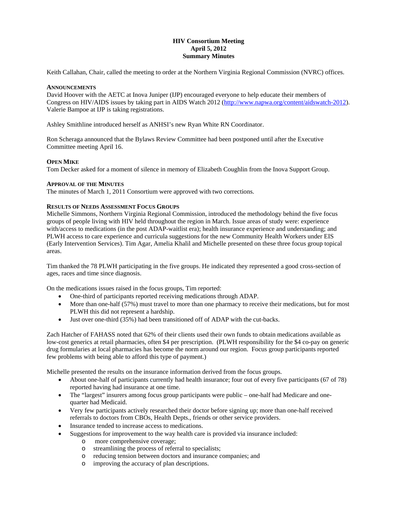# **HIV Consortium Meeting April 5, 2012 Summary Minutes**

Keith Callahan, Chair, called the meeting to order at the Northern Virginia Regional Commission (NVRC) offices.

### **ANNOUNCEMENTS**

David Hoover with the AETC at Inova Juniper (IJP) encouraged everyone to help educate their members of Congress on HIV/AIDS issues by taking part in AIDS Watch 2012 (http://www.napwa.org/content/aidswatch-2012). Valerie Bampoe at IJP is taking registrations.

Ashley Smithline introduced herself as ANHSI's new Ryan White RN Coordinator.

Ron Scheraga announced that the Bylaws Review Committee had been postponed until after the Executive Committee meeting April 16.

### **OPEN MIKE**

Tom Decker asked for a moment of silence in memory of Elizabeth Coughlin from the Inova Support Group.

#### **APPROVAL OF THE MINUTES**

The minutes of March 1, 2011 Consortium were approved with two corrections.

### **RESULTS OF NEEDS ASSESSMENT FOCUS GROUPS**

Michelle Simmons, Northern Virginia Regional Commission, introduced the methodology behind the five focus groups of people living with HIV held throughout the region in March. Issue areas of study were: experience with/access to medications (in the post ADAP-waitlist era); health insurance experience and understanding; and PLWH access to care experience and curricula suggestions for the new Community Health Workers under EIS (Early Intervention Services). Tim Agar, Amelia Khalil and Michelle presented on these three focus group topical areas.

Tim thanked the 78 PLWH participating in the five groups. He indicated they represented a good cross-section of ages, races and time since diagnosis.

On the medications issues raised in the focus groups, Tim reported:

- One-third of participants reported receiving medications through ADAP.
- More than one-half (57%) must travel to more than one pharmacy to receive their medications, but for most PLWH this did not represent a hardship.
- Just over one-third (35%) had been transitioned off of ADAP with the cut-backs.

Zach Hatcher of FAHASS noted that 62% of their clients used their own funds to obtain medications available as low-cost generics at retail pharmacies, often \$4 per prescription. (PLWH responsibility for the \$4 co-pay on generic drug formularies at local pharmacies has become the norm around our region. Focus group participants reported few problems with being able to afford this type of payment.)

Michelle presented the results on the insurance information derived from the focus groups.

- About one-half of participants currently had health insurance; four out of every five participants (67 of 78) reported having had insurance at one time.
- The "largest" insurers among focus group participants were public one-half had Medicare and onequarter had Medicaid.
- Very few participants actively researched their doctor before signing up; more than one-half received referrals to doctors from CBOs, Health Depts., friends or other service providers.
- Insurance tended to increase access to medications.
- Suggestions for improvement to the way health care is provided via insurance included:
	- o more comprehensive coverage;
	- o streamlining the process of referral to specialists;
	- o reducing tension between doctors and insurance companies; and
	- o improving the accuracy of plan descriptions.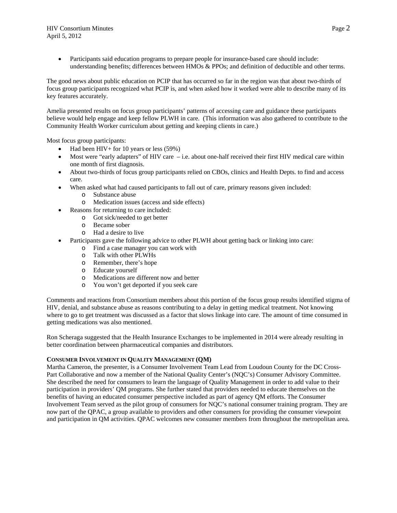# HIV Consortium Minutes **Page 2** April 5, 2012

 Participants said education programs to prepare people for insurance-based care should include: understanding benefits; differences between HMOs & PPOs; and definition of deductible and other terms.

The good news about public education on PCIP that has occurred so far in the region was that about two-thirds of focus group participants recognized what PCIP is, and when asked how it worked were able to describe many of its key features accurately.

Amelia presented results on focus group participants' patterns of accessing care and guidance these participants believe would help engage and keep fellow PLWH in care. (This information was also gathered to contribute to the Community Health Worker curriculum about getting and keeping clients in care.)

Most focus group participants:

- Had been HIV+ for 10 years or less (59%)
- $\bullet$  Most were "early adapters" of HIV care  $-$  i.e. about one-half received their first HIV medical care within one month of first diagnosis.
- About two-thirds of focus group participants relied on CBOs, clinics and Health Depts. to find and access care.
- When asked what had caused participants to fall out of care, primary reasons given included:
	- o Substance abuse
	- o Medication issues (access and side effects)
	- Reasons for returning to care included:
		- o Got sick/needed to get better
		- o Became sober
		- o Had a desire to live
- Participants gave the following advice to other PLWH about getting back or linking into care:
	- o Find a case manager you can work with
	- o Talk with other PLWHs
	- o Remember, there's hope
	- o Educate yourself
	- o Medications are different now and better
	- o You won't get deported if you seek care

Comments and reactions from Consortium members about this portion of the focus group results identified stigma of HIV, denial, and substance abuse as reasons contributing to a delay in getting medical treatment. Not knowing where to go to get treatment was discussed as a factor that slows linkage into care. The amount of time consumed in getting medications was also mentioned.

Ron Scheraga suggested that the Health Insurance Exchanges to be implemented in 2014 were already resulting in better coordination between pharmaceutical companies and distributors.

#### **CONSUMER INVOLVEMENT IN QUALITY MANAGEMENT (QM)**

Martha Cameron, the presenter, is a Consumer Involvement Team Lead from Loudoun County for the DC Cross-Part Collaborative and now a member of the National Quality Center's (NQC's) Consumer Advisory Committee. She described the need for consumers to learn the language of Quality Management in order to add value to their participation in providers' QM programs. She further stated that providers needed to educate themselves on the benefits of having an educated consumer perspective included as part of agency QM efforts. The Consumer Involvement Team served as the pilot group of consumers for NQC's national consumer training program. They are now part of the QPAC, a group available to providers and other consumers for providing the consumer viewpoint and participation in QM activities. QPAC welcomes new consumer members from throughout the metropolitan area.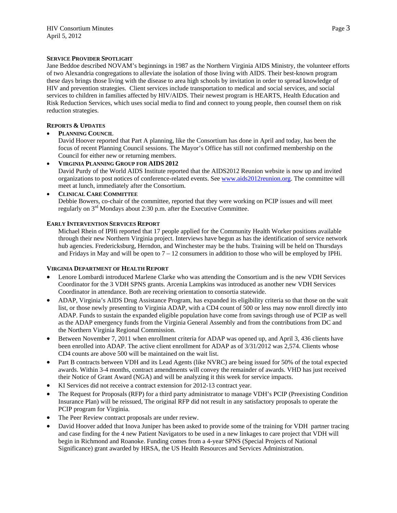### **SERVICE PROVIDER SPOTLIGHT**

Jane Beddoe described NOVAM's beginnings in 1987 as the Northern Virginia AIDS Ministry, the volunteer efforts of two Alexandria congregations to alleviate the isolation of those living with AIDS. Their best-known program these days brings those living with the disease to area high schools by invitation in order to spread knowledge of HIV and prevention strategies. Client services include transportation to medical and social services, and social services to children in families affected by HIV/AIDS. Their newest program is HEARTS, Health Education and Risk Reduction Services, which uses social media to find and connect to young people, then counsel them on risk reduction strategies.

## **REPORTS & UPDATES**

**PLANNING COUNCIL**

David Hoover reported that Part A planning, like the Consortium has done in April and today, has been the focus of recent Planning Council sessions. The Mayor's Office has still not confirmed membership on the Council for either new or returning members.

 **VIRGINIA PLANNING GROUP FOR AIDS 2012**  David Purdy of the World AIDS Institute reported that the AIDS2012 Reunion website is now up and invited organizations to post notices of conference-related events. See www.aids2012reunion.org. The committee will meet at lunch, immediately after the Consortium.

### **CLINICAL CARE COMMITTEE** Debbie Bowers, co-chair of the committee, reported that they were working on PCIP issues and will meet regularly on  $3<sup>rd</sup>$  Mondays about 2:30 p.m. after the Executive Committee.

### **EARLY INTERVENTION SERVICES REPORT**

Michael Rhein of IPHi reported that 17 people applied for the Community Health Worker positions available through their new Northern Virginia project. Interviews have begun as has the identification of service network hub agencies. Fredericksburg, Herndon, and Winchester may be the hubs. Training will be held on Thursdays and Fridays in May and will be open to  $7 - 12$  consumers in addition to those who will be employed by IPHi.

## **VIRGINIA DEPARTMENT OF HEALTH REPORT**

- Lenore Lombardi introduced Marlene Clarke who was attending the Consortium and is the new VDH Services Coordinator for the 3 VDH SPNS grants. Arcenia Lampkins was introduced as another new VDH Services Coordinator in attendance. Both are receiving orientation to consortia statewide.
- ADAP, Virginia's AIDS Drug Assistance Program, has expanded its eligibility criteria so that those on the wait list, or those newly presenting to Virginia ADAP, with a CD4 count of 500 or less may now enroll directly into ADAP. Funds to sustain the expanded eligible population have come from savings through use of PCIP as well as the ADAP emergency funds from the Virginia General Assembly and from the contributions from DC and the Northern Virginia Regional Commission.
- Between November 7, 2011 when enrollment criteria for ADAP was opened up, and April 3, 436 clients have been enrolled into ADAP. The active client enrollment for ADAP as of 3/31/2012 was 2,574. Clients whose CD4 counts are above 500 will be maintained on the wait list.
- Part B contracts between VDH and its Lead Agents (like NVRC) are being issued for 50% of the total expected awards. Within 3-4 months, contract amendments will convey the remainder of awards. VHD has just received their Notice of Grant Award (NGA) and will be analyzing it this week for service impacts.
- KI Services did not receive a contract extension for 2012-13 contract year.
- The Request for Proposals (RFP) for a third party administrator to manage VDH's PCIP (Preexisting Condition Insurance Plan) will be reissued, The original RFP did not result in any satisfactory proposals to operate the PCIP program for Virginia.
- The Peer Review contract proposals are under review.
- David Hoover added that Inova Juniper has been asked to provide some of the training for VDH partner tracing and case finding for the 4 new Patient Navigators to be used in a new linkages to care project that VDH will begin in Richmond and Roanoke. Funding comes from a 4-year SPNS (Special Projects of National Significance) grant awarded by HRSA, the US Health Resources and Services Administration.